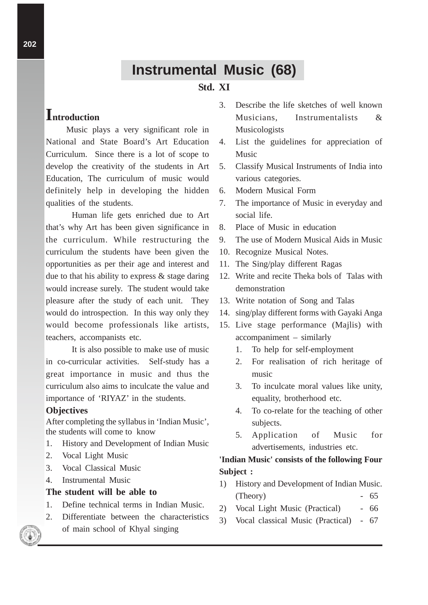# **Instrumental Music (68)**

## **Std. XI**

## **Introduction**

Music plays a very significant role in National and State Board's Art Education Curriculum. Since there is a lot of scope to develop the creativity of the students in Art Education, The curriculum of music would definitely help in developing the hidden qualities of the students.

Human life gets enriched due to Art that's why Art has been given significance in the curriculum. While restructuring the curriculum the students have been given the opportunities as per their age and interest and due to that his ability to express  $\&$  stage daring would increase surely. The student would take pleasure after the study of each unit. They would do introspection. In this way only they would become professionals like artists, teachers, accompanists etc.

It is also possible to make use of music in co-curricular activities. Self-study has a great importance in music and thus the curriculum also aims to inculcate the value and importance of 'RIYAZ' in the students.

#### **Objectives**

After completing the syllabus in 'Indian Music', the students will come to know

- 1. History and Development of Indian Music
- 2. Vocal Light Music
- 3. Vocal Classical Music
- 4. Instrumental Music

#### **The student will be able to**

- 1. Define technical terms in Indian Music.
- 2. Differentiate between the characteristics of main school of Khyal singing
- 3. Describe the life sketches of well known Musicians, Instrumentalists & Musicologists
- 4. List the guidelines for appreciation of Music
- 5. Classify Musical Instruments of India into various categories.
- 6. Modern Musical Form
- 7. The importance of Music in everyday and social life.
- 8. Place of Music in education
- 9. The use of Modern Musical Aids in Music
- 10. Recognize Musical Notes.
- 11. The Sing/play different Ragas
- 12. Write and recite Theka bols of Talas with demonstration
- 13. Write notation of Song and Talas
- 14. sing/play different forms with Gayaki Anga
- 15. Live stage performance (Majlis) with accompaniment – similarly
	- 1. To help for self-employment
	- 2. For realisation of rich heritage of music
	- 3. To inculcate moral values like unity, equality, brotherhood etc.
	- 4. To co-relate for the teaching of other subjects.
	- 5. Application of Music for advertisements, industries etc.

## **'Indian Music' consists of the following Four Subject :**

- 1) History and Development of Indian Music.  $(Theory)$  - 65
- 2) Vocal Light Music (Practical) 66
- 3) Vocal classical Music (Practical) 67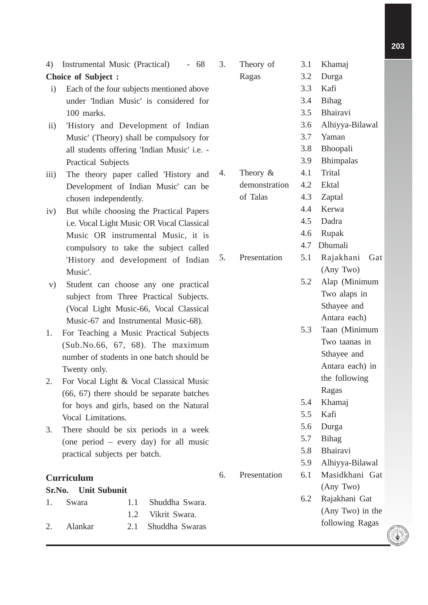4) Instrumental Music (Practical) - 68 **Choice of Subject :**

- i) Each of the four subjects mentioned above under 'Indian Music' is considered for 100 marks.
- ii) 'History and Development of Indian Music' (Theory) shall be compulsory for all students offering 'Indian Music' i.e. - Practical Subjects
- iii) The theory paper called 'History and Development of Indian Music' can be chosen independently.
- iv) But while choosing the Practical Papers i.e. Vocal Light Music OR Vocal Classical Music OR instrumental Music, it is compulsory to take the subject called 'History and development of Indian Music'.
- v) Student can choose any one practical subject from Three Practical Subjects. (Vocal Light Music-66, Vocal Classical Music-67 and Instrumental Music-68).
- 1. For Teaching a Music Practical Subjects (Sub.No.66, 67, 68). The maximum number of students in one batch should be Twenty only.
- 2. For Vocal Light & Vocal Classical Music (66, 67) there should be separate batches for boys and girls, based on the Natural Vocal Limitations.
- 3. There should be six periods in a week (one period – every day) for all music practical subjects per batch.

## **Curriculum**

## **Sr.No. Unit Subunit** 1. Swara 1.1 Shuddha Swara. 1.2 Vikrit Swara. 2. Alankar 2.1 Shuddha Swaras

| 3. | Theory of     | 3.1 | Khamaj           |
|----|---------------|-----|------------------|
|    | Ragas         | 3.2 | Durga            |
|    |               | 3.3 | Kafi             |
|    |               | 3.4 | <b>Bihag</b>     |
|    |               | 3.5 | Bhairavi         |
|    |               | 3.6 | Alhiyya-Bilawal  |
|    |               | 3.7 | Yaman            |
|    |               | 3.8 | <b>Bhoopali</b>  |
|    |               | 3.9 | <b>Bhimpalas</b> |
| 4. | Theory $\&$   | 4.1 | <b>Trital</b>    |
|    | demonstration | 4.2 | Ektal            |
|    | of Talas      | 4.3 | Zaptal           |
|    |               | 4.4 | Kerwa            |
|    |               | 4.5 | Dadra            |
|    |               | 4.6 | Rupak            |
|    |               | 4.7 | Dhumali          |
| 5. | Presentation  | 5.1 | Rajakhani Gat    |
|    |               |     | (Any Two)        |
|    |               | 5.2 | Alap (Minimum    |
|    |               |     | Two alaps in     |
|    |               |     | Sthayee and      |
|    |               |     | Antara each)     |
|    |               | 5.3 | Taan (Minimum    |
|    |               |     | Two taanas in    |
|    |               |     | Sthayee and      |
|    |               |     | Antara each) in  |
|    |               |     | the following    |
|    |               |     | Ragas            |
|    |               | 5.4 | Khamaj           |
|    |               | 5.5 | Kafi             |
|    |               | 5.6 | Durga            |
|    |               | 5.7 | <b>Bihag</b>     |
|    |               | 5.8 | Bhairavi         |
|    |               | 5.9 | Alhiyya-Bilawal  |
| 6. | Presentation  | 6.1 | Masidkhani Gat   |
|    |               |     | (Any Two)        |
|    |               | 6.2 | Rajakhani Gat    |
|    |               |     | (Any Two) in the |
|    |               |     | following Ragas  |
|    |               |     |                  |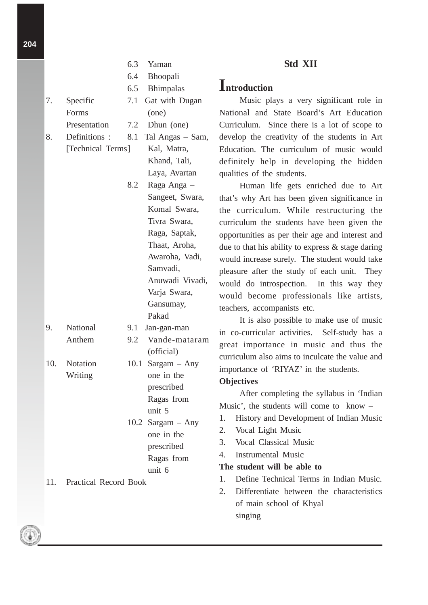|     |                       |     | 6.3 Yaman           |
|-----|-----------------------|-----|---------------------|
|     |                       | 6.4 | Bhoopali            |
|     |                       | 6.5 | <b>Bhimpalas</b>    |
| 7.  | Specific              | 7.1 | Gat with Dugan      |
|     | Forms                 |     | (one)               |
|     | Presentation          | 7.2 | Dhun (one)          |
| 8.  | Definitions :         | 8.1 | Tal Angas - Sam,    |
|     | [Technical Terms]     |     | Kal, Matra,         |
|     |                       |     | Khand, Tali,        |
|     |                       |     | Laya, Avartan       |
|     |                       | 8.2 | Raga Anga -         |
|     |                       |     | Sangeet, Swara,     |
|     |                       |     | Komal Swara,        |
|     |                       |     | Tivra Swara,        |
|     |                       |     | Raga, Saptak,       |
|     |                       |     | Thaat, Aroha,       |
|     |                       |     | Awaroha, Vadi,      |
|     |                       |     | Samvadi,            |
|     |                       |     | Anuwadi Vivadi,     |
|     |                       |     | Varja Swara,        |
|     |                       |     | Gansumay,           |
|     |                       |     | Pakad               |
| 9.  | National              | 9.1 | Jan-gan-man         |
|     | Anthem                | 9.2 | Vande-mataram       |
|     |                       |     | (official)          |
| 10. | Notation              |     | 10.1 Sargam $-$ Any |
|     | Writing               |     | one in the          |
|     |                       |     | prescribed          |
|     |                       |     | Ragas from          |
|     |                       |     | unit 5              |
|     |                       |     | 10.2 Sargam $-$ Any |
|     |                       |     | one in the          |
|     |                       |     | prescribed          |
|     |                       |     | Ragas from          |
|     |                       |     | unit 6              |
| 11. | Practical Record Book |     |                     |

## **Std XII**

## **Introduction**

Music plays a very significant role in National and State Board's Art Education Curriculum. Since there is a lot of scope to develop the creativity of the students in Art Education. The curriculum of music would definitely help in developing the hidden qualities of the students.

Human life gets enriched due to Art that's why Art has been given significance in the curriculum. While restructuring the curriculum the students have been given the opportunities as per their age and interest and due to that his ability to express & stage daring would increase surely. The student would take pleasure after the study of each unit. They would do introspection. In this way they would become professionals like artists, teachers, accompanists etc.

It is also possible to make use of music in co-curricular activities. Self-study has a great importance in music and thus the curriculum also aims to inculcate the value and importance of 'RIYAZ' in the students.

## **Objectives**

After completing the syllabus in 'Indian Music', the students will come to know –

- 1. History and Development of Indian Music
- 2. Vocal Light Music
- 3. Vocal Classical Music
- 4. Instrumental Music

#### **The student will be able to**

- 1. Define Technical Terms in Indian Music.
- 2. Differentiate between the characteristics of main school of Khyal singing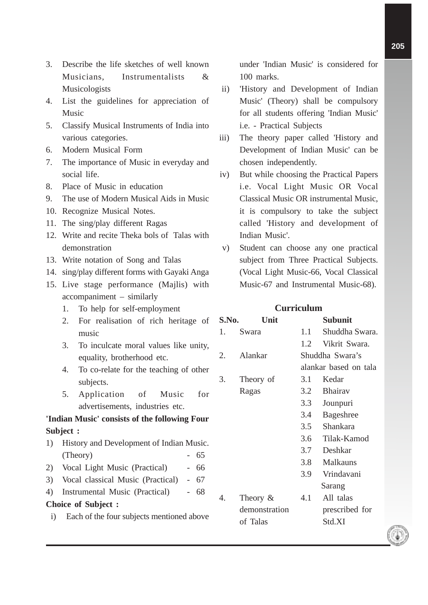- 3. Describe the life sketches of well known Musicians, Instrumentalists & Musicologists
- 4. List the guidelines for appreciation of Music
- 5. Classify Musical Instruments of India into various categories.
- 6. Modern Musical Form
- 7. The importance of Music in everyday and social life.
- 8. Place of Music in education
- 9. The use of Modern Musical Aids in Music
- 10. Recognize Musical Notes.
- 11. The sing/play different Ragas
- 12. Write and recite Theka bols of Talas with demonstration
- 13. Write notation of Song and Talas
- 14. sing/play different forms with Gayaki Anga
- 15. Live stage performance (Majlis) with accompaniment – similarly
	- 1. To help for self-employment
	- 2. For realisation of rich heritage of music
	- 3. To inculcate moral values like unity, equality, brotherhood etc.
	- 4. To co-relate for the teaching of other subjects.
	- 5. Application of Music for advertisements, industries etc.

## **'Indian Music' consists of the following Four Subject :**

- 1) History and Development of Indian Music.  $(Theory)$  - 65
- 2) Vocal Light Music (Practical) 66
- 3) Vocal classical Music (Practical) 67
- 4) Instrumental Music (Practical) 68

## **Choice of Subject :**

i) Each of the four subjects mentioned above

under 'Indian Music' is considered for 100 marks.

- ii) 'History and Development of Indian Music' (Theory) shall be compulsory for all students offering 'Indian Music' i.e. - Practical Subjects
- iii) The theory paper called 'History and Development of Indian Music' can be chosen independently.
- iv) But while choosing the Practical Papers i.e. Vocal Light Music OR Vocal Classical Music OR instrumental Music, it is compulsory to take the subject called 'History and development of Indian Music'.
- v) Student can choose any one practical subject from Three Practical Subjects. (Vocal Light Music-66, Vocal Classical Music-67 and Instrumental Music-68).

## **Curriculum**

| S.No. | Unit          | <b>Subunit</b>        |                  |  |  |  |
|-------|---------------|-----------------------|------------------|--|--|--|
| 1.    | Swara         | 1.1                   | Shuddha Swara.   |  |  |  |
|       |               | 1.2                   | Vikrit Swara.    |  |  |  |
| 2.    | Alankar       |                       | Shuddha Swara's  |  |  |  |
|       |               | alankar based on tala |                  |  |  |  |
| 3.    | Theory of     | 3.1                   | Kedar            |  |  |  |
|       | Ragas         | 3.2                   | <b>Bhairav</b>   |  |  |  |
|       |               | 3.3                   | Jounpuri         |  |  |  |
|       |               | 3.4                   | <b>Bageshree</b> |  |  |  |
|       |               | 3.5                   | Shankara         |  |  |  |
|       |               | 3.6                   | Tilak-Kamod      |  |  |  |
|       |               | 3.7                   | Deshkar          |  |  |  |
|       |               | 3.8                   | <b>Malkauns</b>  |  |  |  |
|       |               | 3.9                   | Vrindavani       |  |  |  |
|       |               |                       | Sarang           |  |  |  |
| 4.    | Theory &      | 4.1                   | All talas        |  |  |  |
|       | demonstration |                       | prescribed for   |  |  |  |
|       | of Talas      |                       | Std.XI           |  |  |  |
|       |               |                       |                  |  |  |  |